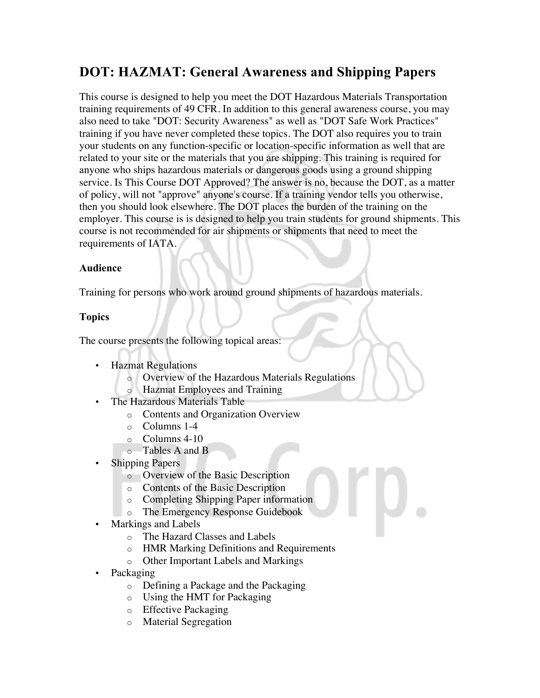# **DOT: HAZMAT: General Awareness and Shipping Papers**

This course is designed to help you meet the DOT Hazardous Materials Transportation training requirements of 49 CFR. In addition to this general awareness course, you may also need to take "DOT: Security Awareness" as well as "DOT Safe Work Practices" training if you have never completed these topics. The DOT also requires you to train your students on any function-specific or location-specific information as well that are related to your site or the materials that you are shipping. This training is required for anyone who ships hazardous materials or dangerous goods using a ground shipping service. Is This Course DOT Approved? The answer is no, because the DOT, as a matter of policy, will not "approve" anyone's course. If a training vendor tells you otherwise, then you should look elsewhere. The DOT places the burden of the training on the employer. This course is is designed to help you train students for ground shipments. This course is not recommended for air shipments or shipments that need to meet the requirements of IATA.

## **Audience**

Training for persons who work around ground shipments of hazardous materials.

# **Topics**

The course presents the following topical areas:

- Hazmat Regulations
	- o Overview of the Hazardous Materials Regulations
	- o Hazmat Employees and Training
- The Hazardous Materials Table
	- o Contents and Organization Overview
	- o Columns 1-4
	- o Columns 4-10
	- o Tables A and B
- Shipping Papers
	- o Overview of the Basic Description
	- o Contents of the Basic Description
	- o Completing Shipping Paper information
	- o The Emergency Response Guidebook
- Markings and Labels
	- o The Hazard Classes and Labels
	- o HMR Marking Definitions and Requirements
	- o Other Important Labels and Markings
- Packaging
	- o Defining a Package and the Packaging
	- o Using the HMT for Packaging
	- o Effective Packaging
	- o Material Segregation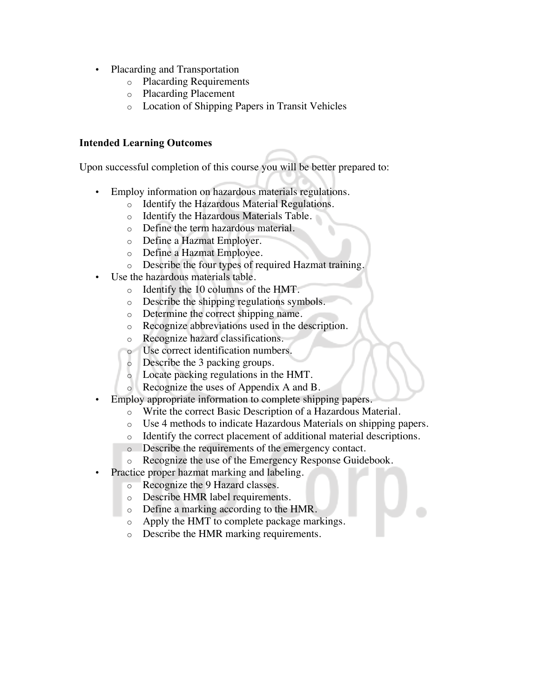- Placarding and Transportation
	- o Placarding Requirements
	- o Placarding Placement
	- o Location of Shipping Papers in Transit Vehicles

### **Intended Learning Outcomes**

Upon successful completion of this course you will be better prepared to:

- Employ information on hazardous materials regulations.
	- o Identify the Hazardous Material Regulations.
	- o Identify the Hazardous Materials Table.
	- o Define the term hazardous material.
	- o Define a Hazmat Employer.
	- o Define a Hazmat Employee.
	- o Describe the four types of required Hazmat training.
- Use the hazardous materials table.
	- o Identify the 10 columns of the HMT.
	- o Describe the shipping regulations symbols.
	- o Determine the correct shipping name.
	- o Recognize abbreviations used in the description.
	- o Recognize hazard classifications.
	- o Use correct identification numbers.
	- o Describe the 3 packing groups.
	- o Locate packing regulations in the HMT.
	- o Recognize the uses of Appendix A and B.
- Employ appropriate information to complete shipping papers.
	- o Write the correct Basic Description of a Hazardous Material.
	- o Use 4 methods to indicate Hazardous Materials on shipping papers.
	- o Identify the correct placement of additional material descriptions.
	- o Describe the requirements of the emergency contact.
	- o Recognize the use of the Emergency Response Guidebook.
- Practice proper hazmat marking and labeling.
	- o Recognize the 9 Hazard classes.
	- o Describe HMR label requirements.
	- o Define a marking according to the HMR.
	- o Apply the HMT to complete package markings.
	- o Describe the HMR marking requirements.